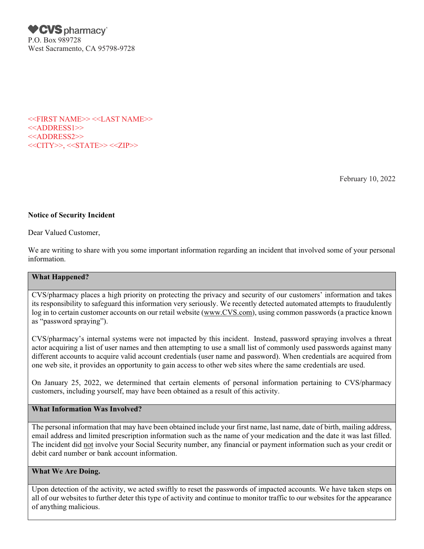**♥CVS** pharmacy® P.O. Box 989728 West Sacramento, CA 95798-9728

<<FIRST NAME>> <<LAST NAME>> <<ADDRESS1>> <<ADDRESS2>> <<<CITY>>, <<STATE>> <<ZIP>>

February 10, 2022

# Notice of Security Incident

Dear Valued Customer,

We are writing to share with you some important information regarding an incident that involved some of your personal information.

#### What Happened?

CVS/pharmacy places a high priority on protecting the privacy and security of our customers' information and takes its responsibility to safeguard this information very seriously. We recently detected automated attempts to fraudulently log in to certain customer accounts on our retail website [\(www.CVS.com\)](http://www.cvs.com/), using common passwords (a practice known as "password spraying").

CVS/pharmacy's internal systems were not impacted by this incident. Instead, password spraying involves a threat actor acquiring a list of user names and then attempting to use a small list of commonly used passwords against many different accounts to acquire valid account credentials (user name and password). When credentials are acquired from one web site, it provides an opportunity to gain access to other web sites where the same credentials are used.

On January 25, 2022, we determined that certain elements of personal information pertaining to CVS/pharmacy customers, including yourself, may have been obtained as a result of this activity.

# What Information Was Involved?

The personal information that may have been obtained include your first name, last name, date of birth, mailing address, email address and limited prescription information such as the name of your medication and the date it was last filled. The incident did not involve your Social Security number, any financial or payment information such as your credit or debit card number or bank account information.

### What We Are Doing.

Upon detection of the activity, we acted swiftly to reset the passwords of impacted accounts. We have taken steps on all of our websites to further deter this type of activity and continue to monitor traffic to our websites for the appearance of anything malicious.